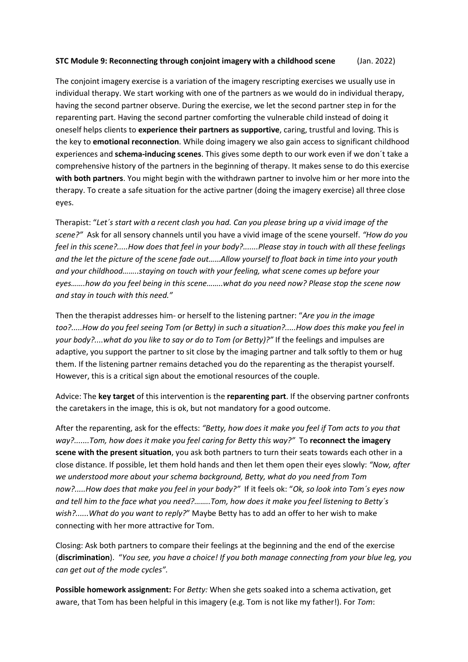## **STC Module 9: Reconnecting through conjoint imagery with a childhood scene** (Jan. 2022)

The conjoint imagery exercise is a variation of the imagery rescripting exercises we usually use in individual therapy. We start working with one of the partners as we would do in individual therapy, having the second partner observe. During the exercise, we let the second partner step in for the reparenting part. Having the second partner comforting the vulnerable child instead of doing it oneself helps clients to **experience their partners as supportive**, caring, trustful and loving. This is the key to **emotional reconnection**. While doing imagery we also gain access to significant childhood experiences and **schema-inducing scenes**. This gives some depth to our work even if we don´t take a comprehensive history of the partners in the beginning of therapy. It makes sense to do this exercise **with both partners**. You might begin with the withdrawn partner to involve him or her more into the therapy. To create a safe situation for the active partner (doing the imagery exercise) all three close eyes.

Therapist: "*Let´s start with a recent clash you had. Can you please bring up a vivid image of the scene?"* Ask for all sensory channels until you have a vivid image of the scene yourself. *"How do you feel in this scene?.....How does that feel in your body?.......Please stay in touch with all these feelings and the let the picture of the scene fade out……Allow yourself to float back in time into your youth and your childhood……..staying on touch with your feeling, what scene comes up before your eyes…….how do you feel being in this scene……..what do you need now? Please stop the scene now and stay in touch with this need."*

Then the therapist addresses him- or herself to the listening partner: "*Are you in the image too?.....How do you feel seeing Tom (or Betty) in such a situation?.....How does this make you feel in your body?....what do you like to say or do to Tom (or Betty)?"* If the feelings and impulses are adaptive, you support the partner to sit close by the imaging partner and talk softly to them or hug them. If the listening partner remains detached you do the reparenting as the therapist yourself. However, this is a critical sign about the emotional resources of the couple.

Advice: The **key target** of this intervention is the **reparenting part**. If the observing partner confronts the caretakers in the image, this is ok, but not mandatory for a good outcome.

After the reparenting, ask for the effects: *"Betty, how does it make you feel if Tom acts to you that way?.......Tom, how does it make you feel caring for Betty this way?"* To **reconnect the imagery scene with the present situation**, you ask both partners to turn their seats towards each other in a close distance. If possible, let them hold hands and then let them open their eyes slowly: *"Now, after we understood more about your schema background, Betty, what do you need from Tom now?.....How does that make you feel in your body?"* If it feels ok: "*Ok, so look into Tom´s eyes now and tell him to the face what you need?……..Tom, how does it make you feel listening to Betty´s wish?......What do you want to reply?*" Maybe Betty has to add an offer to her wish to make connecting with her more attractive for Tom.

Closing: Ask both partners to compare their feelings at the beginning and the end of the exercise (**discrimination**). "*You see, you have a choice! If you both manage connecting from your blue leg, you can get out of the mode cycles".*

**Possible homework assignment:** For *Betty:* When she gets soaked into a schema activation, get aware, that Tom has been helpful in this imagery (e.g. Tom is not like my father!). For *Tom*: